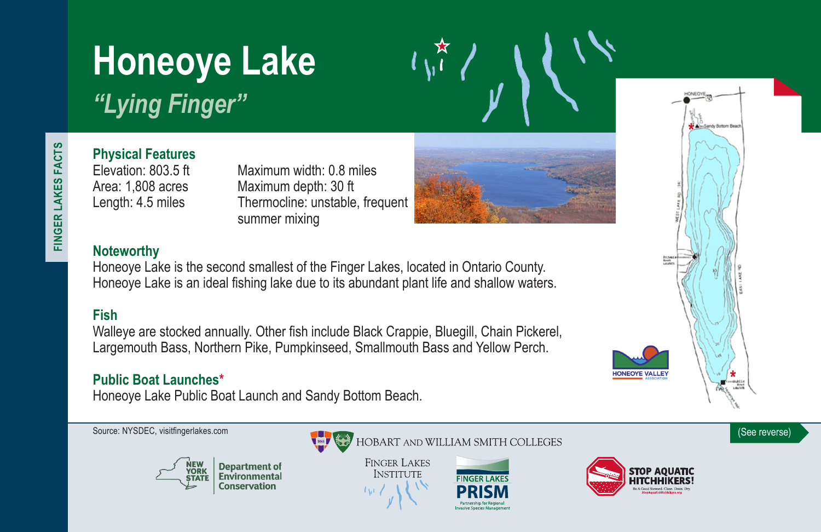# **Honeoye Lake**

*"Lying Finger"*

# **Physical Features**

Maximum width: 0.8 miles Area: 1,808 acres Maximum depth: 30 ft Length: 4.5 miles Thermocline: unstable, frequent summer mixing



## **Noteworthy**

Honeoye Lake is the second smallest of the Finger Lakes, located in Ontario County. Honeoye Lake is an ideal fishing lake due to its abundant plant life and shallow waters.

### **Fish**

Walleye are stocked annually. Other fish include Black Crappie, Bluegill, Chain Pickerel, Largemouth Bass, Northern Pike, Pumpkinseed, Smallmouth Bass and Yellow Perch.

### **Public Boat Launches\***

Honeoye Lake Public Boat Launch and Sandy Bottom Beach.





 $\begin{smallmatrix} & \star \\ \bullet & \bullet \end{smallmatrix}$ 

**FINGER LAKES INSTITUTE** 





**HONEOYE VALLEY** 



Sandy Bottom Beach

FINGER LAKES FACTS **FINGER LAKES FACTS**